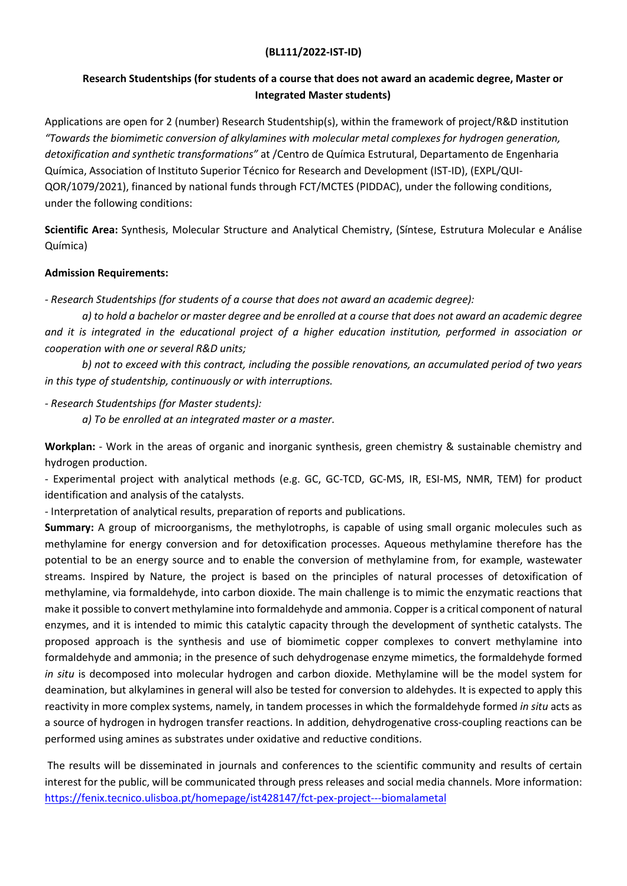## (BL111/2022-IST-ID)

## Research Studentships (for students of a course that does not award an academic degree, Master or Integrated Master students)

Applications are open for 2 (number) Research Studentship(s), within the framework of project/R&D institution "Towards the biomimetic conversion of alkylamines with molecular metal complexes for hydrogen generation, detoxification and synthetic transformations" at /Centro de Química Estrutural, Departamento de Engenharia Química, Association of Instituto Superior Técnico for Research and Development (IST-ID), (EXPL/QUI-QOR/1079/2021), financed by national funds through FCT/MCTES (PIDDAC), under the following conditions, under the following conditions:

Scientific Area: Synthesis, Molecular Structure and Analytical Chemistry, (Síntese, Estrutura Molecular e Análise Química)

## Admission Requirements:

- Research Studentships (for students of a course that does not award an academic degree):

 a) to hold a bachelor or master degree and be enrolled at a course that does not award an academic degree and it is integrated in the educational project of a higher education institution, performed in association or cooperation with one or several R&D units;

b) not to exceed with this contract, including the possible renovations, an accumulated period of two years in this type of studentship, continuously or with interruptions.

- Research Studentships (for Master students):

a) To be enrolled at an integrated master or a master.

Workplan: - Work in the areas of organic and inorganic synthesis, green chemistry & sustainable chemistry and hydrogen production.

- Experimental project with analytical methods (e.g. GC, GC-TCD, GC-MS, IR, ESI-MS, NMR, TEM) for product identification and analysis of the catalysts.

- Interpretation of analytical results, preparation of reports and publications.

Summary: A group of microorganisms, the methylotrophs, is capable of using small organic molecules such as methylamine for energy conversion and for detoxification processes. Aqueous methylamine therefore has the potential to be an energy source and to enable the conversion of methylamine from, for example, wastewater streams. Inspired by Nature, the project is based on the principles of natural processes of detoxification of methylamine, via formaldehyde, into carbon dioxide. The main challenge is to mimic the enzymatic reactions that make it possible to convert methylamine into formaldehyde and ammonia. Copper is a critical component of natural enzymes, and it is intended to mimic this catalytic capacity through the development of synthetic catalysts. The proposed approach is the synthesis and use of biomimetic copper complexes to convert methylamine into formaldehyde and ammonia; in the presence of such dehydrogenase enzyme mimetics, the formaldehyde formed in situ is decomposed into molecular hydrogen and carbon dioxide. Methylamine will be the model system for deamination, but alkylamines in general will also be tested for conversion to aldehydes. It is expected to apply this reactivity in more complex systems, namely, in tandem processes in which the formaldehyde formed in situ acts as a source of hydrogen in hydrogen transfer reactions. In addition, dehydrogenative cross-coupling reactions can be performed using amines as substrates under oxidative and reductive conditions.

 The results will be disseminated in journals and conferences to the scientific community and results of certain interest for the public, will be communicated through press releases and social media channels. More information: https://fenix.tecnico.ulisboa.pt/homepage/ist428147/fct-pex-project---biomalametal